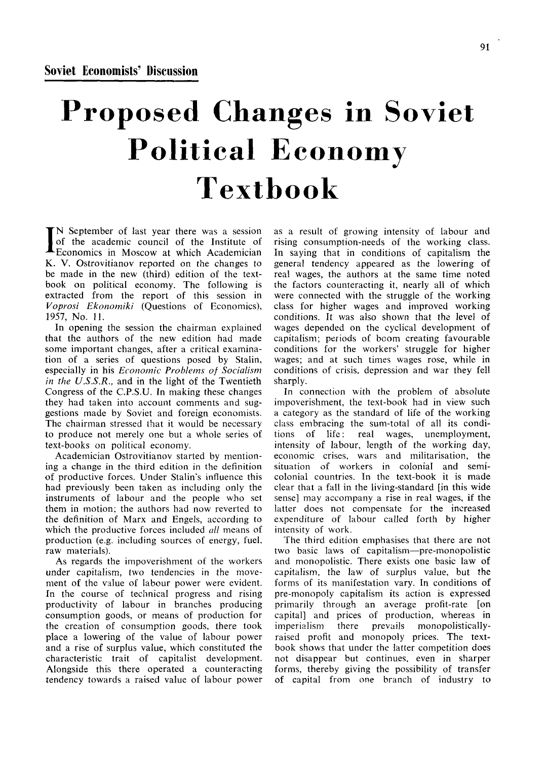## Proposed Changes in Soviet Political Economy Textbook

I N September of last year there was a session of the academic council of the Institute of Economics in Moscow at which Academician K. V. Ostrovitianov reported on the changes to be made in the new (third) edition of the textbook on political economy. The following is extracted from the report of this session in *Voprosi Ekonomiki* (Questions of Economics), 1957, No. 11.

In opening the session the chairman explained that the authors of the new edition had made some important changes, after a critical examination of a series of questions posed by Stalin, especially in his *Economic Problems of Socialism in the U.S.S.R.,* and in the light of the Twentieth Congress of the C.P.S.U. In making these changes they had taken into account comments and suggestions made by Soviet and foreign economists. The chairman stressed that it would be necessary to produce not merely one but a whole series of text-books on political economy.

Academician Ostrovitianov started by mentioning a change in the third edition in the definition of productive forces. Under Stalin's influence this had previously been taken as including only the instruments of labour and the people who set them in motion; the authors had now reverted to the definition of Marx and Engels, according to which the productive forces included *all* means of production (e.g. including sources of energy, fuel, raw materials).

As regards the impoverishment of the workers under capitalism, two tendencies in the movement of the value of labour power were evident. In the course of technical progress and rising productivity of labour in branches producing consumption goods, or means of production for the creation of consumption goods, there took place a lowering of the value of labour power and a rise of surplus value, which constituted the characteristic trait of capitalist development. Alongside this there operated a counteracting tendency towards a raised value of labour power

as a result of growing intensity of labour and rising consumption-needs of the working class. In saying that in conditions of capitalism the general tendency appeared as the lowering of real wages, the authors at the same time noted the factors counteracting it, nearly all of which were connected with the struggle of the working class for higher wages and improved working conditions. It was also shown that the level of wages depended on the cyclical development of capitalism; periods of boom creating favourable conditions for the workers' struggle for higher wages; and at such times wages rose, while in conditions of crisis, depression and war they fell sharply.

In connection with the problem of absolute impoverishment, the text-book had in view such a category as the standard of life of the working class embracing the sum-total of all its conditions of life: real wages, unemployment, intensity of labour, length of the working day, economic crises, wars and militarisation, the situation of workers in colonial and semicolonial countries. In the text-book it is made clear that a fall in the living-standard [in this wide sense] may accompany a rise in real wages, if the latter does not compensate for the increased expenditure of labour called forth by higher intensity of work.

The third edition emphasises that there are not two basic laws of capitalism—pre-monopolistic and monopolistic. There exists one basic law of capitalism, the law of surplus value, but the forms of its manifestation vary. In conditions of pre-monopoly capitalism its action is expressed primarily through an average profit-rate [on capital] and prices of production, whereas in imperialism there prevails monopolisticallyraised profit and monopoly prices. The textbook shows that under the latter competition does not disappear but continues, even in sharper forms, thereby giving the possibility of transfer of capital from one branch of industry to